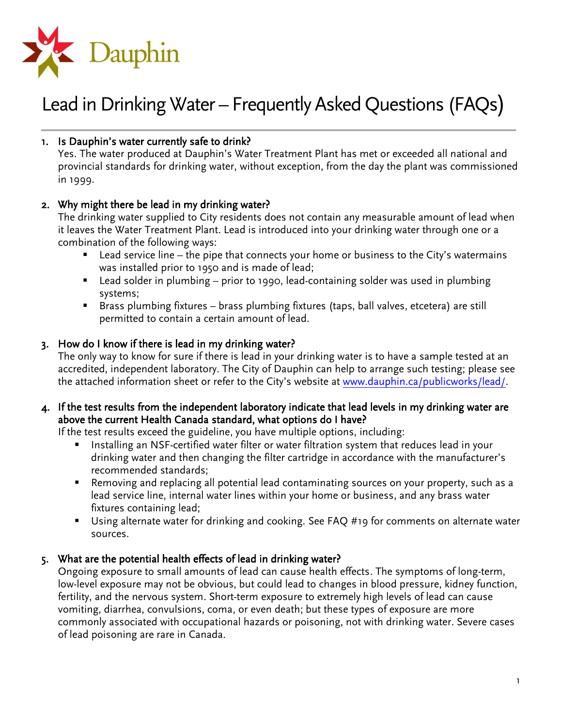

## 1. Is Dauphin's water currently safe to drink?

Yes. The water produced at Dauphin's Water Treatment Plant has met or exceeded all national and provincial standards for drinking water, without exception, from the day the plant was commissioned in 1999.

## 2. Why might there be lead in my drinking water?

The drinking water supplied to City residents does not contain any measurable amount of lead when it leaves the Water Treatment Plant. Lead is introduced into your drinking water through one or a combination of the following ways:

- $\blacksquare$  Lead service line the pipe that connects your home or business to the City's watermains was installed prior to 1950 and is made of lead;
- Lead solder in plumbing prior to 1990, lead-containing solder was used in plumbing systems;
- Brass plumbing fixtures brass plumbing fixtures (taps, ball valves, etcetera) are still permitted to contain a certain amount of lead.

### 3. How do I know if there is lead in my drinking water?

The only way to know for sure if there is lead in your drinking water is to have a sample tested at an accredited, independent laboratory. The City of Dauphin can help to arrange such testing; please see the attached information sheet or refer to the City's website at [www.dauphin.ca/publicworks/lead/.](http://www.dauphin.ca/publicworks/lead/)

#### 4. If the test results from the independent laboratory indicate that lead levels in my drinking water are above the current Health Canada standard, what options do I have?

If the test results exceed the guideline, you have multiple options, including:

- Installing an NSF-certified water filter or water filtration system that reduces lead in your drinking water and then changing the filter cartridge in accordance with the manufacturer's recommended standards;
- Removing and replacing all potential lead contaminating sources on your property, such as a lead service line, internal water lines within your home or business, and any brass water fixtures containing lead;
- Using alternate water for drinking and cooking. See FAQ #19 for comments on alternate water sources.

## 5. What are the potential health effects of lead in drinking water?

Ongoing exposure to small amounts of lead can cause health effects. The symptoms of long-term, low-level exposure may not be obvious, but could lead to changes in blood pressure, kidney function, fertility, and the nervous system. Short-term exposure to extremely high levels of lead can cause vomiting, diarrhea, convulsions, coma, or even death; but these types of exposure are more commonly associated with occupational hazards or poisoning, not with drinking water. Severe cases of lead poisoning are rare in Canada.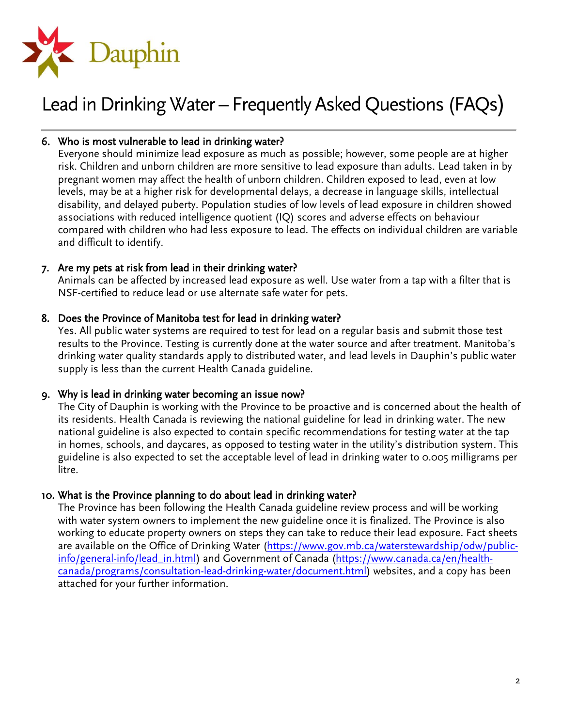

## 6. Who is most vulnerable to lead in drinking water?

Everyone should minimize lead exposure as much as possible; however, some people are at higher risk. Children and unborn children are more sensitive to lead exposure than adults. Lead taken in by pregnant women may affect the health of unborn children. Children exposed to lead, even at low levels, may be at a higher risk for developmental delays, a decrease in language skills, intellectual disability, and delayed puberty. Population studies of low levels of lead exposure in children showed associations with reduced intelligence quotient (IQ) scores and adverse effects on behaviour compared with children who had less exposure to lead. The effects on individual children are variable and difficult to identify.

### 7. Are my pets at risk from lead in their drinking water?

Animals can be affected by increased lead exposure as well. Use water from a tap with a filter that is NSF-certified to reduce lead or use alternate safe water for pets.

### 8. Does the Province of Manitoba test for lead in drinking water?

Yes. All public water systems are required to test for lead on a regular basis and submit those test results to the Province. Testing is currently done at the water source and after treatment. Manitoba's drinking water quality standards apply to distributed water, and lead levels in Dauphin's public water supply is less than the current Health Canada guideline.

#### 9. Why is lead in drinking water becoming an issue now?

The City of Dauphin is working with the Province to be proactive and is concerned about the health of its residents. Health Canada is reviewing the national guideline for lead in drinking water. The new national guideline is also expected to contain specific recommendations for testing water at the tap in homes, schools, and daycares, as opposed to testing water in the utility's distribution system. This guideline is also expected to set the acceptable level of lead in drinking water to 0.005 milligrams per litre.

#### 10. What is the Province planning to do about lead in drinking water?

The Province has been following the Health Canada guideline review process and will be working with water system owners to implement the new guideline once it is finalized. The Province is also working to educate property owners on steps they can take to reduce their lead exposure. Fact sheets are available on the Office of Drinking Water [\(https://www.gov.mb.ca/waterstewardship/odw/public](https://www.gov.mb.ca/waterstewardship/odw/public-info/general-info/lead_in.html)[info/general-info/lead\\_in.html\)](https://www.gov.mb.ca/waterstewardship/odw/public-info/general-info/lead_in.html) and Government of Canada [\(https://www.canada.ca/en/health](https://www.canada.ca/en/health-canada/programs/consultation-lead-drinking-water/document.html)[canada/programs/consultation-lead-drinking-water/document.html\)](https://www.canada.ca/en/health-canada/programs/consultation-lead-drinking-water/document.html) websites, and a copy has been attached for your further information.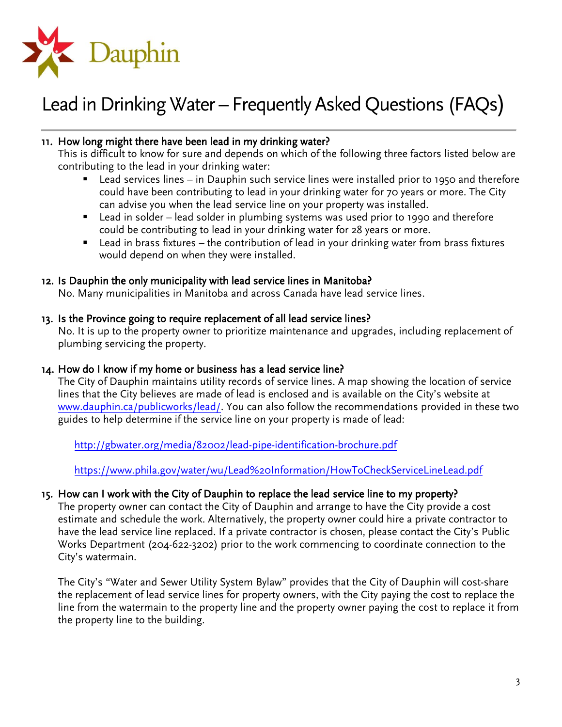

### 11. How long might there have been lead in my drinking water?

This is difficult to know for sure and depends on which of the following three factors listed below are contributing to the lead in your drinking water:

- Lead services lines in Dauphin such service lines were installed prior to 1950 and therefore could have been contributing to lead in your drinking water for 70 years or more. The City can advise you when the lead service line on your property was installed.
- Lead in solder lead solder in plumbing systems was used prior to 1990 and therefore could be contributing to lead in your drinking water for 28 years or more.
- Lead in brass fixtures the contribution of lead in your drinking water from brass fixtures would depend on when they were installed.

#### 12. Is Dauphin the only municipality with lead service lines in Manitoba?

No. Many municipalities in Manitoba and across Canada have lead service lines.

#### 13. Is the Province going to require replacement of all lead service lines?

No. It is up to the property owner to prioritize maintenance and upgrades, including replacement of plumbing servicing the property.

#### 14. How do I know if my home or business has a lead service line?

The City of Dauphin maintains utility records of service lines. A map showing the location of service lines that the City believes are made of lead is enclosed and is available on the City's website at [www.dauphin.ca/publicworks/lead/.](http://www.dauphin.ca/publicworks/lead/) You can also follow the recommendations provided in these two guides to help determine if the service line on your property is made of lead:

<http://gbwater.org/media/82002/lead-pipe-identification-brochure.pdf>

<https://www.phila.gov/water/wu/Lead%20Information/HowToCheckServiceLineLead.pdf>

#### 15. How can I work with the City of Dauphin to replace the lead service line to my property?

The property owner can contact the City of Dauphin and arrange to have the City provide a cost estimate and schedule the work. Alternatively, the property owner could hire a private contractor to have the lead service line replaced. If a private contractor is chosen, please contact the City's Public Works Department (204-622-3202) prior to the work commencing to coordinate connection to the City's watermain.

The City's "Water and Sewer Utility System Bylaw" provides that the City of Dauphin will cost-share the replacement of lead service lines for property owners, with the City paying the cost to replace the line from the watermain to the property line and the property owner paying the cost to replace it from the property line to the building.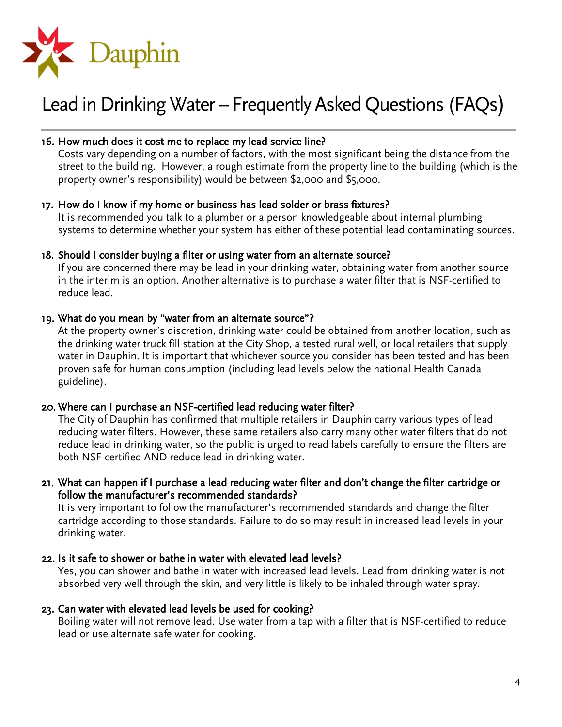

#### 16. How much does it cost me to replace my lead service line?

Costs vary depending on a number of factors, with the most significant being the distance from the street to the building. However, a rough estimate from the property line to the building (which is the property owner's responsibility) would be between \$2,000 and \$5,000.

#### 17. How do I know if my home or business has lead solder or brass fixtures?

It is recommended you talk to a plumber or a person knowledgeable about internal plumbing systems to determine whether your system has either of these potential lead contaminating sources.

#### 18. Should I consider buying a filter or using water from an alternate source?

If you are concerned there may be lead in your drinking water, obtaining water from another source in the interim is an option. Another alternative is to purchase a water filter that is NSF-certified to reduce lead.

#### 19. What do you mean by "water from an alternate source"?

At the property owner's discretion, drinking water could be obtained from another location, such as the drinking water truck fill station at the City Shop, a tested rural well, or local retailers that supply water in Dauphin. It is important that whichever source you consider has been tested and has been proven safe for human consumption (including lead levels below the national Health Canada guideline).

#### 20. Where can I purchase an NSF-certified lead reducing water filter?

The City of Dauphin has confirmed that multiple retailers in Dauphin carry various types of lead reducing water filters. However, these same retailers also carry many other water filters that do not reduce lead in drinking water, so the public is urged to read labels carefully to ensure the filters are both NSF-certified AND reduce lead in drinking water.

#### 21. What can happen if I purchase a lead reducing water filter and don't change the filter cartridge or follow the manufacturer's recommended standards?

It is very important to follow the manufacturer's recommended standards and change the filter cartridge according to those standards. Failure to do so may result in increased lead levels in your drinking water.

#### 22. Is it safe to shower or bathe in water with elevated lead levels?

Yes, you can shower and bathe in water with increased lead levels. Lead from drinking water is not absorbed very well through the skin, and very little is likely to be inhaled through water spray.

#### 23. Can water with elevated lead levels be used for cooking?

Boiling water will not remove lead. Use water from a tap with a filter that is NSF-certified to reduce lead or use alternate safe water for cooking.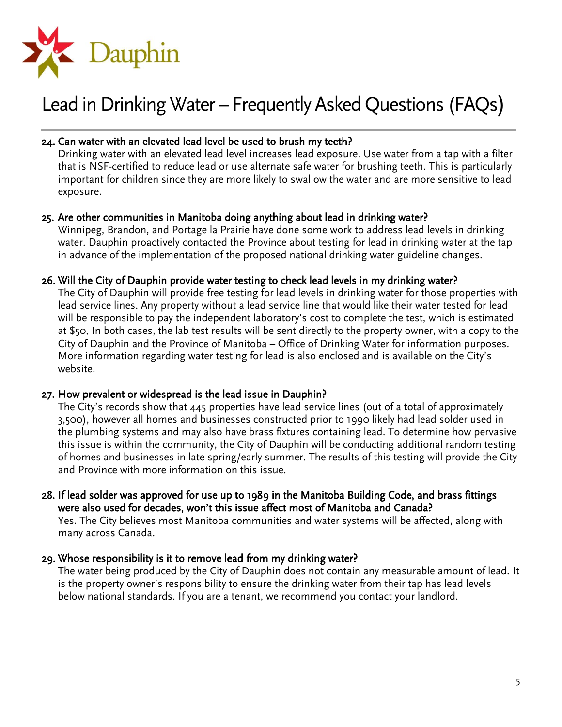

#### 24. Can water with an elevated lead level be used to brush my teeth?

Drinking water with an elevated lead level increases lead exposure. Use water from a tap with a filter that is NSF-certified to reduce lead or use alternate safe water for brushing teeth. This is particularly important for children since they are more likely to swallow the water and are more sensitive to lead exposure.

#### 25. Are other communities in Manitoba doing anything about lead in drinking water?

Winnipeg, Brandon, and Portage la Prairie have done some work to address lead levels in drinking water. Dauphin proactively contacted the Province about testing for lead in drinking water at the tap in advance of the implementation of the proposed national drinking water guideline changes.

#### 26. Will the City of Dauphin provide water testing to check lead levels in my drinking water?

The City of Dauphin will provide free testing for lead levels in drinking water for those properties with lead service lines. Any property without a lead service line that would like their water tested for lead will be responsible to pay the independent laboratory's cost to complete the test, which is estimated at \$50. In both cases, the lab test results will be sent directly to the property owner, with a copy to the City of Dauphin and the Province of Manitoba – Office of Drinking Water for information purposes. More information regarding water testing for lead is also enclosed and is available on the City's website.

#### 27. How prevalent or widespread is the lead issue in Dauphin?

The City's records show that 445 properties have lead service lines (out of a total of approximately 3,500), however all homes and businesses constructed prior to 1990 likely had lead solder used in the plumbing systems and may also have brass fixtures containing lead. To determine how pervasive this issue is within the community, the City of Dauphin will be conducting additional random testing of homes and businesses in late spring/early summer. The results of this testing will provide the City and Province with more information on this issue.

28. If lead solder was approved for use up to 1989 in the Manitoba Building Code, and brass fittings were also used for decades, won't this issue affect most of Manitoba and Canada?

Yes. The City believes most Manitoba communities and water systems will be affected, along with many across Canada.

#### 29. Whose responsibility is it to remove lead from my drinking water?

The water being produced by the City of Dauphin does not contain any measurable amount of lead. It is the property owner's responsibility to ensure the drinking water from their tap has lead levels below national standards. If you are a tenant, we recommend you contact your landlord.